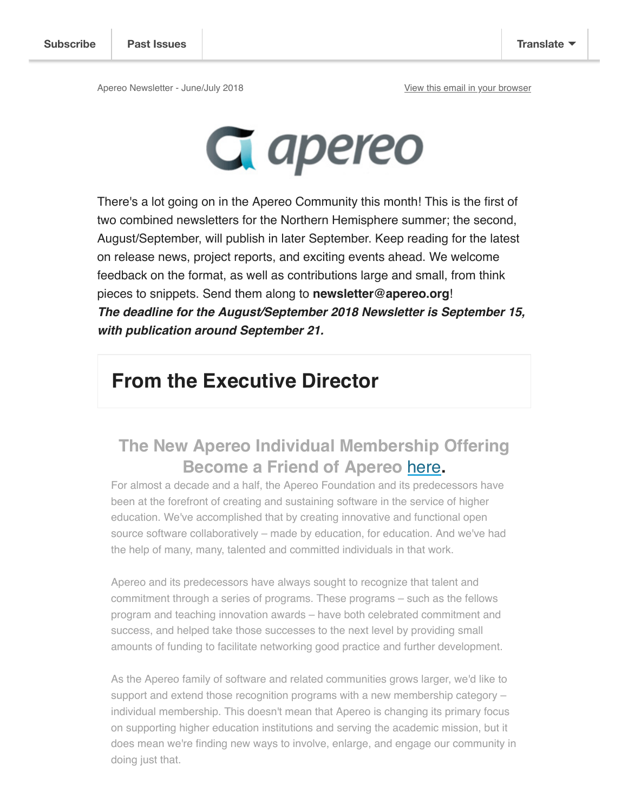

There's a lot going on in the Apereo Community this month! This is the first of two combined newsletters for the Northern Hemisphere summer; the second, August/September, will publish in later September. Keep reading for the latest on release news, project reports, and exciting events ahead. We welcome feedback on the format, as well as contributions large and small, from think pieces to snippets. Send them along to **newsletter@apereo.org**! **The deadline for the August/September 2018 Newsletter is September 15, with publication around September 21.** 

# **From the Executive Director**

## **The New Apereo Individual Membership Offering Become a Friend of Apereo** here**.**

For almost a decade and a half, the Apereo Foundation and its predecessors have been at the forefront of creating and sustaining software in the service of higher education. We've accomplished that by creating innovative and functional open source software collaboratively – made by education, for education. And we've had the help of many, many, talented and committed individuals in that work.

Apereo and its predecessors have always sought to recognize that talent and commitment through a series of programs. These programs – such as the fellows program and teaching innovation awards – have both celebrated commitment and success, and helped take those successes to the next level by providing small amounts of funding to facilitate networking good practice and further development.

As the Apereo family of software and related communities grows larger, we'd like to support and extend those recognition programs with a new membership category – individual membership. This doesn't mean that Apereo is changing its primary focus on supporting higher education institutions and serving the academic mission, but it does mean we're finding new ways to involve, enlarge, and engage our community in doing just that.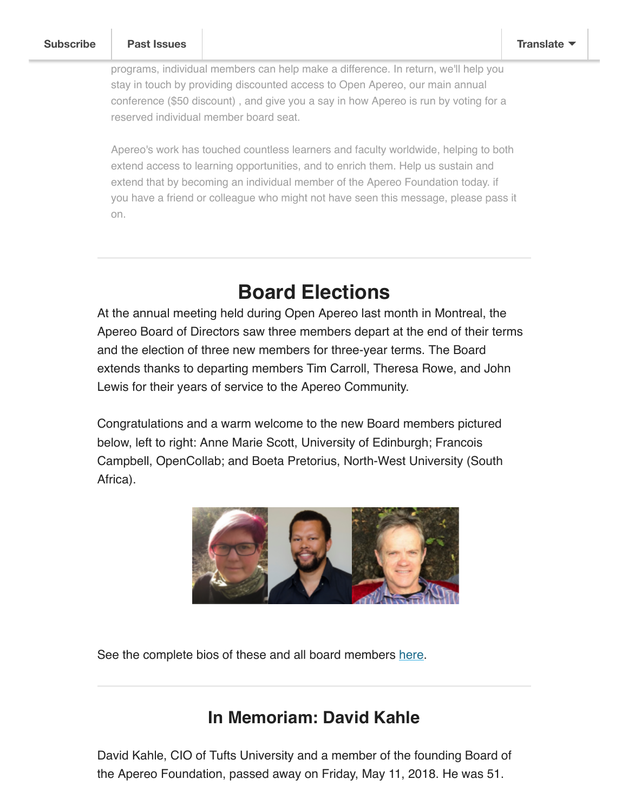programs, individual members can help make a difference. In return, we'll help you stay in touch by providing discounted access to Open Apereo, our main annual conference (\$50 discount) , and give you a say in how Apereo is run by voting for a reserved individual member board seat.

Apereo's work has touched countless learners and faculty worldwide, helping to both extend access to learning opportunities, and to enrich them. Help us sustain and extend that by becoming an individual member of the Apereo Foundation today. if you have a friend or colleague who might not have seen this message, please pass it on.

## **Board Elections**

At the annual meeting held during Open Apereo last month in Montreal, the Apereo Board of Directors saw three members depart at the end of their terms and the election of three new members for three-year terms. The Board extends thanks to departing members Tim Carroll, Theresa Rowe, and John Lewis for their years of service to the Apereo Community.

Congratulations and a warm welcome to the new Board members pictured below, left to right: Anne Marie Scott, University of Edinburgh; Francois Campbell, OpenCollab; and Boeta Pretorius, North-West University (South Africa).



See the complete bios of these and all board members here.

### **In Memoriam: David Kahle**

David Kahle, CIO of Tufts University and a member of the founding Board of the Apereo Foundation, passed away on Friday, May 11, 2018. He was 51.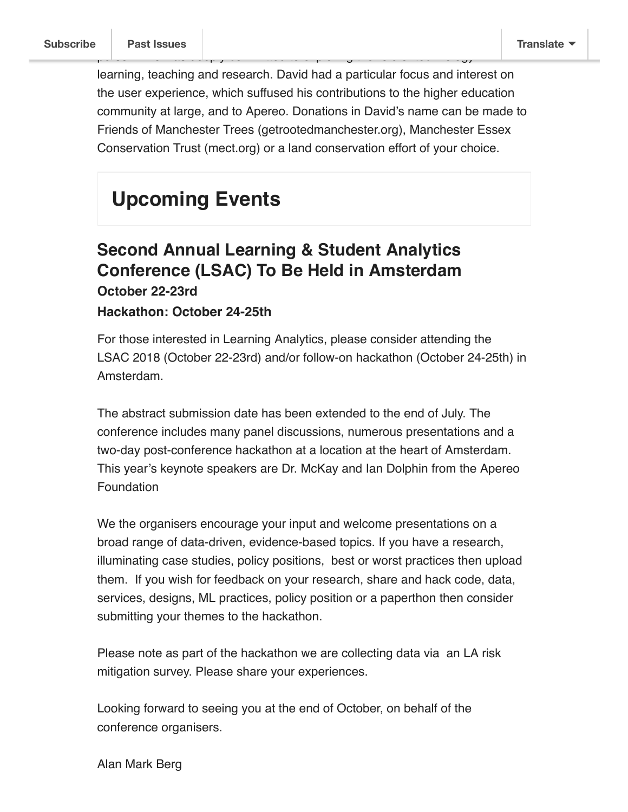learning, teaching and research. David had a particular focus and interest on the user experience, which suffused his contributions to the higher education community at large, and to Apereo. Donations in David's name can be made to Friends of Manchester Trees (getrootedmanchester.org), Manchester Essex Conservation Trust (mect.org) or a land conservation effort of your choice.

person who was deeply committed to explore the role of technology in the role of technology in the role of tech<br>Prole of technology in the role of technology in the role of technology in the role of technology in the role

# **Upcoming Events**

#### **Second Annual Learning & Student Analytics Conference (LSAC) To Be Held in Amsterdam October 22-23rd**

#### **Hackathon: October 24-25th**

For those interested in Learning Analytics, please consider attending the LSAC 2018 (October 22-23rd) and/or follow-on hackathon (October 24-25th) in Amsterdam.

The abstract submission date has been extended to the end of July. The conference includes many panel discussions, numerous presentations and a two-day post-conference hackathon at a location at the heart of Amsterdam. This year's keynote speakers are Dr. McKay and Ian Dolphin from the Apereo Foundation

We the organisers encourage your input and welcome presentations on a broad range of data-driven, evidence-based topics. If you have a research, illuminating case studies, policy positions, best or worst practices then upload them. If you wish for feedback on your research, share and hack code, data, services, designs, ML practices, policy position or a paperthon then consider submitting your themes to the hackathon.

Please note as part of the hackathon we are collecting data via an LA risk mitigation survey. Please share your experiences.

Looking forward to seeing you at the end of October, on behalf of the conference organisers.

Alan Mark Berg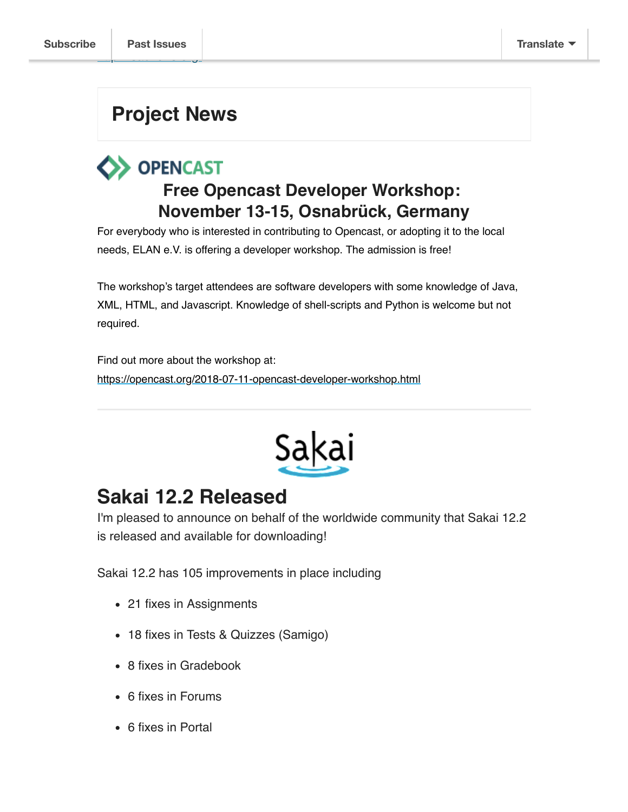# **Project News**

# **OPENCAST Free Opencast Developer Workshop: November 13-15, Osnabrück, Germany**

For everybody who is interested in contributing to Opencast, or adopting it to the local needs, ELAN e.V. is offering a developer workshop. The admission is free!

The workshop's target attendees are software developers with some knowledge of Java, XML, HTML, and Javascript. Knowledge of shell-scripts and Python is welcome but not required.

Find out more about the workshop at: https://opencast.org/2018-07-11-opencast-developer-workshop.html



# **Sakai 12.2 Released**

I'm pleased to announce on behalf of the worldwide community that Sakai 12.2 is released and available for downloading!

Sakai 12.2 has 105 improvements in place including

- 21 fixes in Assignments
- 18 fixes in Tests & Quizzes (Samigo)
- 8 fixes in Gradebook
- 6 fixes in Forums
- 6 fixes in Portal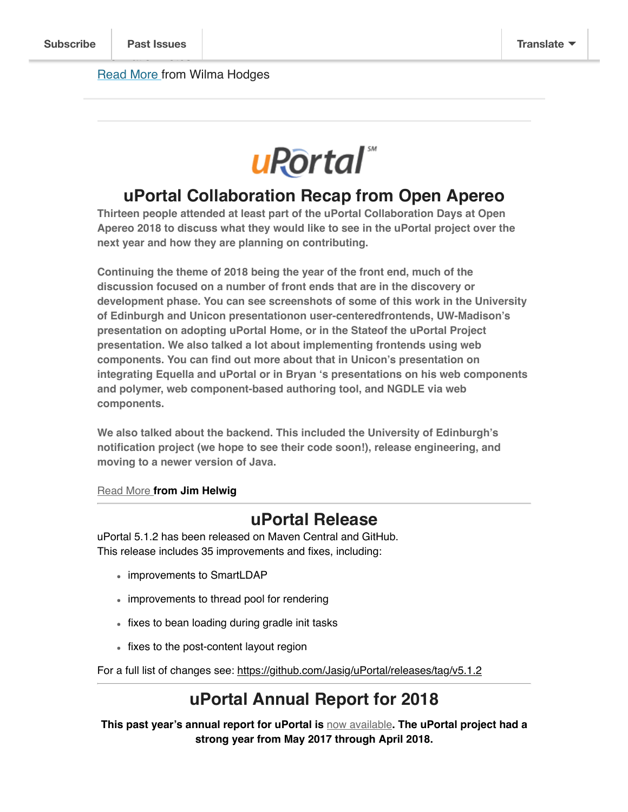

#### **uPortal Collaboration Recap from Open Apereo**

**Thirteen people attended at least part of the uPortal Collaboration Days at Open Apereo 2018 to discuss what they would like to see in the uPortal project over the next year and how they are planning on contributing.**

**Continuing the theme of 2018 being the year of the front end, much of the discussion focused on a number of front ends that are in the discovery or development phase. You can see screenshots of some of this work in the University of Edinburgh and Unicon presentationon user-centeredfrontends, UW-Madison's presentation on adopting uPortal Home, or in the Stateof the uPortal Project presentation. We also talked a lot about implementing frontends using web components. You can find out more about that in Unicon's presentation on integrating Equella and uPortal or in Bryan 's presentations on his web components and polymer, web component-based authoring tool, and NGDLE via web components.**

**We also talked about the backend. This included the University of Edinburgh's notification project (we hope to see their code soon!), release engineering, and moving to a newer version of Java.**

#### Read More **from Jim Helwig**

#### **uPortal Release**

uPortal 5.1.2 has been released on Maven Central and GitHub. This release includes 35 improvements and fixes, including:

- improvements to SmartLDAP
- improvements to thread pool for rendering
- fixes to bean loading during gradle init tasks
- fixes to the post-content layout region

For a full list of changes see: https://github.com/Jasig/uPortal/releases/tag/v5.1.2

### **uPortal Annual Report for 2018**

**This past year's annual report for uPortal is** now available**. The uPortal project had a strong year from May 2017 through April 2018.**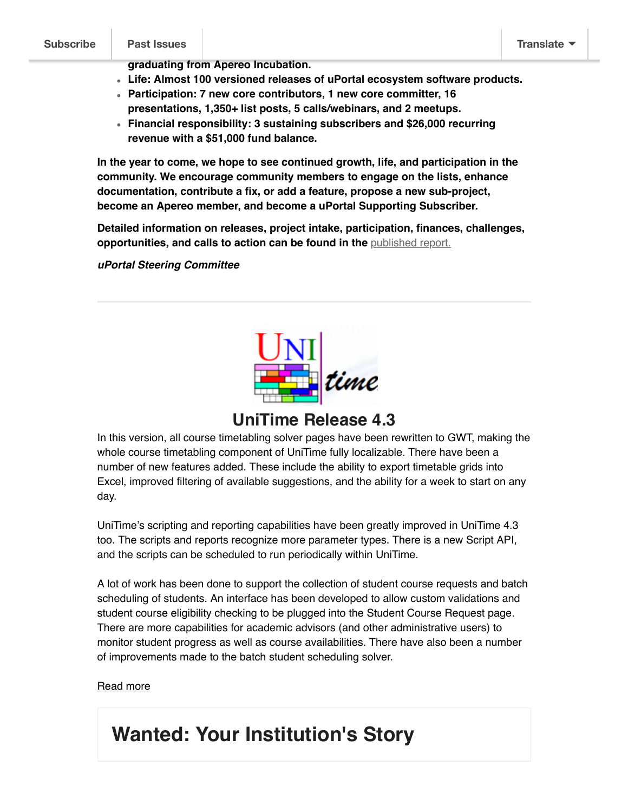**graduating from Apereo Incubation.**

- **Life: Almost 100 versioned releases of uPortal ecosystem software products.**
- **Participation: 7 new core contributors, 1 new core committer, 16 presentations, 1,350+ list posts, 5 calls/webinars, and 2 meetups.**
- **Financial responsibility: 3 sustaining subscribers and \$26,000 recurring revenue with a \$51,000 fund balance.**

**In the year to come, we hope to see continued growth, life, and participation in the community. We encourage community members to engage on the lists, enhance documentation, contribute a fix, or add a feature, propose a new sub-project, become an Apereo member, and become a uPortal Supporting Subscriber.**

**Detailed information on releases, project intake, participation, finances, challenges, opportunities, and calls to action can be found in the** published report.

**uPortal Steering Committee**



### **UniTime Release 4.3**

In this version, all course timetabling solver pages have been rewritten to GWT, making the whole course timetabling component of UniTime fully localizable. There have been a number of new features added. These include the ability to export timetable grids into Excel, improved filtering of available suggestions, and the ability for a week to start on any day.

UniTime's scripting and reporting capabilities have been greatly improved in UniTime 4.3 too. The scripts and reports recognize more parameter types. There is a new Script API, and the scripts can be scheduled to run periodically within UniTime.

A lot of work has been done to support the collection of student course requests and batch scheduling of students. An interface has been developed to allow custom validations and student course eligibility checking to be plugged into the Student Course Request page. There are more capabilities for academic advisors (and other administrative users) to monitor student progress as well as course availabilities. There have also been a number of improvements made to the batch student scheduling solver.

#### Read more

# **Wanted: Your Institution's Story**